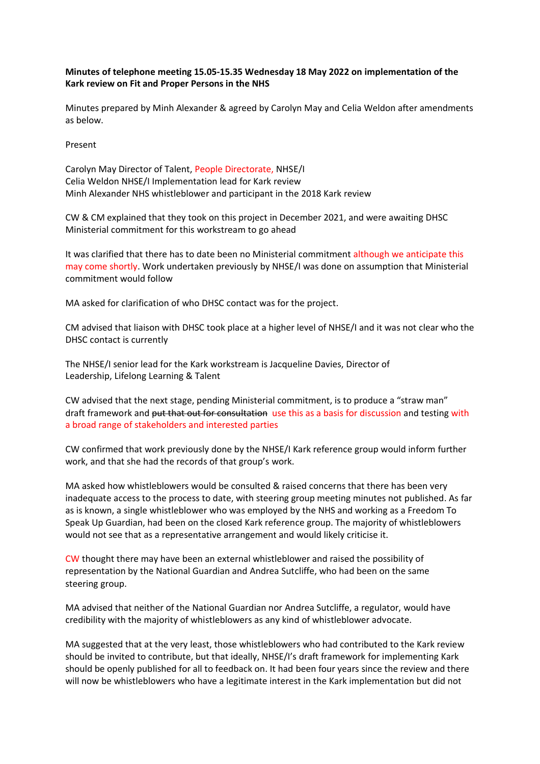## **Minutes of telephone meeting 15.05-15.35 Wednesday 18 May 2022 on implementation of the Kark review on Fit and Proper Persons in the NHS**

Minutes prepared by Minh Alexander & agreed by Carolyn May and Celia Weldon after amendments as below.

Present

Carolyn May Director of Talent, People Directorate, NHSE/I Celia Weldon NHSE/I Implementation lead for Kark review Minh Alexander NHS whistleblower and participant in the 2018 Kark review

CW & CM explained that they took on this project in December 2021, and were awaiting DHSC Ministerial commitment for this workstream to go ahead

It was clarified that there has to date been no Ministerial commitment although we anticipate this may come shortly. Work undertaken previously by NHSE/I was done on assumption that Ministerial commitment would follow

MA asked for clarification of who DHSC contact was for the project.

CM advised that liaison with DHSC took place at a higher level of NHSE/I and it was not clear who the DHSC contact is currently

The NHSE/I senior lead for the Kark workstream is Jacqueline Davies, Director of Leadership, Lifelong Learning & Talent

CW advised that the next stage, pending Ministerial commitment, is to produce a "straw man" draft framework and put that out for consultation use this as a basis for discussion and testing with a broad range of stakeholders and interested parties

CW confirmed that work previously done by the NHSE/I Kark reference group would inform further work, and that she had the records of that group's work.

MA asked how whistleblowers would be consulted & raised concerns that there has been very inadequate access to the process to date, with steering group meeting minutes not published. As far as is known, a single whistleblower who was employed by the NHS and working as a Freedom To Speak Up Guardian, had been on the closed Kark reference group. The majority of whistleblowers would not see that as a representative arrangement and would likely criticise it.

CW thought there may have been an external whistleblower and raised the possibility of representation by the National Guardian and Andrea Sutcliffe, who had been on the same steering group.

MA advised that neither of the National Guardian nor Andrea Sutcliffe, a regulator, would have credibility with the majority of whistleblowers as any kind of whistleblower advocate.

MA suggested that at the very least, those whistleblowers who had contributed to the Kark review should be invited to contribute, but that ideally, NHSE/I's draft framework for implementing Kark should be openly published for all to feedback on. It had been four years since the review and there will now be whistleblowers who have a legitimate interest in the Kark implementation but did not